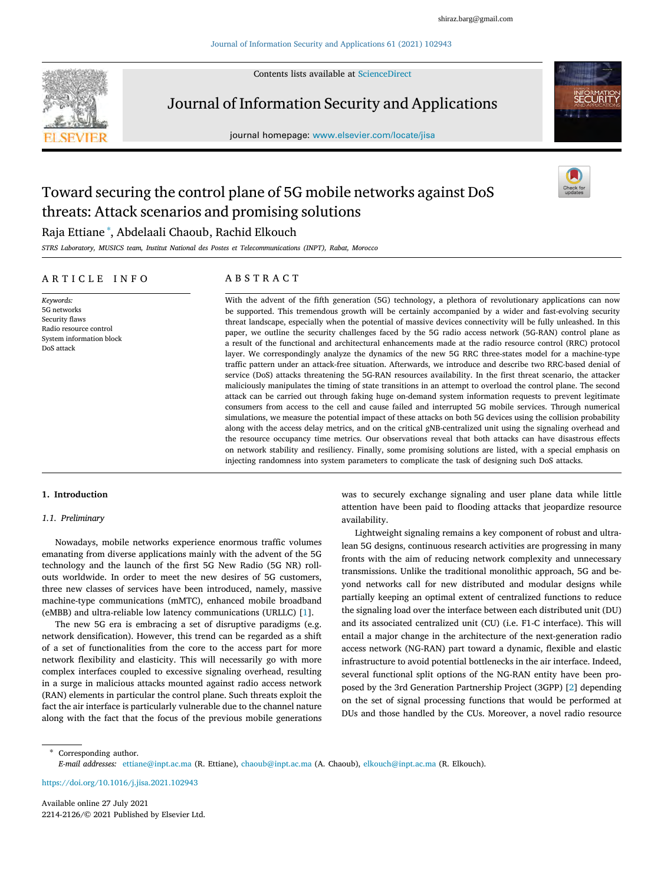Contents lists available at [ScienceDirect](http://www.elsevier.com/locate/jisa)



Journal of Information Security and Applications

journal homepage: [www.elsevier.com/locate/jisa](http://www.elsevier.com/locate/jisa)



# Toward securing the control plane of 5G mobile networks against DoS threats: Attack scenarios and promising solutions

## Raja Ettiane [∗](#page-0-0) , Abdelaali Chaoub, Rachid Elkouch

*STRS Laboratory, MUSICS team, Institut National des Postes et Telecommunications (INPT), Rabat, Morocco*

## A R T I C L E I N F O

*Keywords:* 5G networks Security flaws Radio resource control System information block DoS attack

## A B S T R A C T

With the advent of the fifth generation (5G) technology, a plethora of revolutionary applications can now be supported. This tremendous growth will be certainly accompanied by a wider and fast-evolving security threat landscape, especially when the potential of massive devices connectivity will be fully unleashed. In this paper, we outline the security challenges faced by the 5G radio access network (5G-RAN) control plane as a result of the functional and architectural enhancements made at the radio resource control (RRC) protocol layer. We correspondingly analyze the dynamics of the new 5G RRC three-states model for a machine-type traffic pattern under an attack-free situation. Afterwards, we introduce and describe two RRC-based denial of service (DoS) attacks threatening the 5G-RAN resources availability. In the first threat scenario, the attacker maliciously manipulates the timing of state transitions in an attempt to overload the control plane. The second attack can be carried out through faking huge on-demand system information requests to prevent legitimate consumers from access to the cell and cause failed and interrupted 5G mobile services. Through numerical simulations, we measure the potential impact of these attacks on both 5G devices using the collision probability along with the access delay metrics, and on the critical gNB-centralized unit using the signaling overhead and the resource occupancy time metrics. Our observations reveal that both attacks can have disastrous effects on network stability and resiliency. Finally, some promising solutions are listed, with a special emphasis on injecting randomness into system parameters to complicate the task of designing such DoS attacks.

## **1. Introduction**

## *1.1. Preliminary*

Nowadays, mobile networks experience enormous traffic volumes emanating from diverse applications mainly with the advent of the 5G technology and the launch of the first 5G New Radio (5G NR) rollouts worldwide. In order to meet the new desires of 5G customers, three new classes of services have been introduced, namely, massive machine-type communications (mMTC), enhanced mobile broadband (eMBB) and ultra-reliable low latency communications (URLLC) [[1](#page-9-0)].

The new 5G era is embracing a set of disruptive paradigms (e.g. network densification). However, this trend can be regarded as a shift of a set of functionalities from the core to the access part for more network flexibility and elasticity. This will necessarily go with more complex interfaces coupled to excessive signaling overhead, resulting in a surge in malicious attacks mounted against radio access network (RAN) elements in particular the control plane. Such threats exploit the fact the air interface is particularly vulnerable due to the channel nature along with the fact that the focus of the previous mobile generations was to securely exchange signaling and user plane data while little attention have been paid to flooding attacks that jeopardize resource availability.

Lightweight signaling remains a key component of robust and ultralean 5G designs, continuous research activities are progressing in many fronts with the aim of reducing network complexity and unnecessary transmissions. Unlike the traditional monolithic approach, 5G and beyond networks call for new distributed and modular designs while partially keeping an optimal extent of centralized functions to reduce the signaling load over the interface between each distributed unit (DU) and its associated centralized unit (CU) (i.e. F1-C interface). This will entail a major change in the architecture of the next-generation radio access network (NG-RAN) part toward a dynamic, flexible and elastic infrastructure to avoid potential bottlenecks in the air interface. Indeed, several functional split options of the NG-RAN entity have been proposed by the 3rd Generation Partnership Project (3GPP) [[2](#page-9-1)] depending on the set of signal processing functions that would be performed at DUs and those handled by the CUs. Moreover, a novel radio resource

<span id="page-0-0"></span>Corresponding author. *E-mail addresses:* [ettiane@inpt.ac.ma](mailto:ettiane@inpt.ac.ma) (R. Ettiane), [chaoub@inpt.ac.ma](mailto:chaoub@inpt.ac.ma) (A. Chaoub), [elkouch@inpt.ac.ma](mailto:elkouch@inpt.ac.ma) (R. Elkouch).

<https://doi.org/10.1016/j.jisa.2021.102943>

Available online 27 July 2021 2214-2126/© 2021 Published by Elsevier Ltd.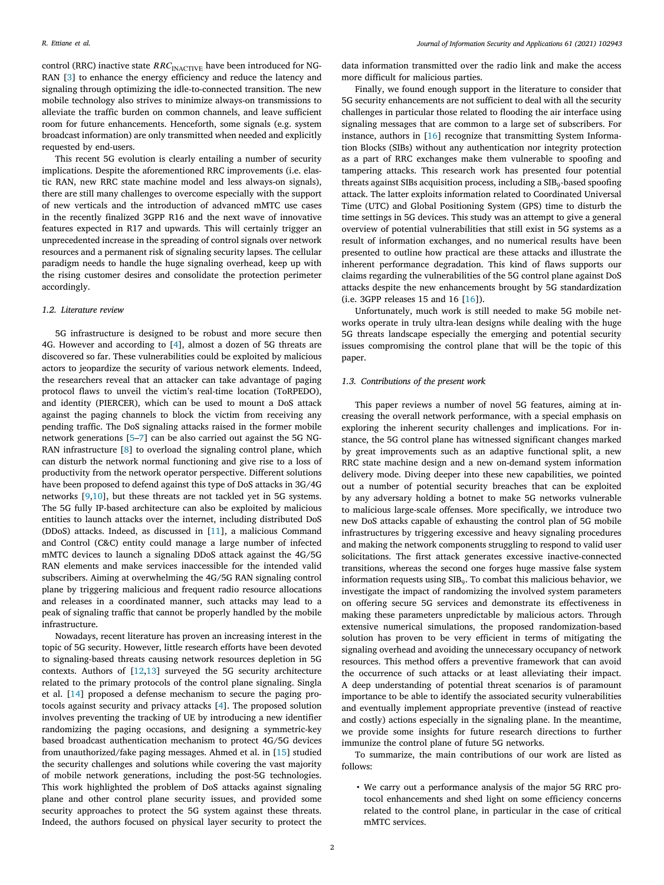control (RRC) inactive state  $RRC_{\text{INACTIVE}}$  have been introduced for NG-RAN [\[3\]](#page-9-2) to enhance the energy efficiency and reduce the latency and signaling through optimizing the idle-to-connected transition. The new mobile technology also strives to minimize always-on transmissions to alleviate the traffic burden on common channels, and leave sufficient room for future enhancements. Henceforth, some signals (e.g. system broadcast information) are only transmitted when needed and explicitly requested by end-users.

This recent 5G evolution is clearly entailing a number of security implications. Despite the aforementioned RRC improvements (i.e. elastic RAN, new RRC state machine model and less always-on signals), there are still many challenges to overcome especially with the support of new verticals and the introduction of advanced mMTC use cases in the recently finalized 3GPP R16 and the next wave of innovative features expected in R17 and upwards. This will certainly trigger an unprecedented increase in the spreading of control signals over network resources and a permanent risk of signaling security lapses. The cellular paradigm needs to handle the huge signaling overhead, keep up with the rising customer desires and consolidate the protection perimeter accordingly.

## *1.2. Literature review*

5G infrastructure is designed to be robust and more secure then 4G. However and according to [[4\]](#page-9-3), almost a dozen of 5G threats are discovered so far. These vulnerabilities could be exploited by malicious actors to jeopardize the security of various network elements. Indeed, the researchers reveal that an attacker can take advantage of paging protocol flaws to unveil the victim's real-time location (ToRPEDO), and identity (PIERCER), which can be used to mount a DoS attack against the paging channels to block the victim from receiving any pending traffic. The DoS signaling attacks raised in the former mobile network generations [\[5–](#page-9-4)[7](#page-9-5)] can be also carried out against the 5G NG-RAN infrastructure [\[8\]](#page-9-6) to overload the signaling control plane, which can disturb the network normal functioning and give rise to a loss of productivity from the network operator perspective. Different solutions have been proposed to defend against this type of DoS attacks in 3G/4G networks [\[9,](#page-9-7)[10](#page-9-8)], but these threats are not tackled yet in 5G systems. The 5G fully IP-based architecture can also be exploited by malicious entities to launch attacks over the internet, including distributed DoS (DDoS) attacks. Indeed, as discussed in [\[11\]](#page-9-9), a malicious Command and Control (C&C) entity could manage a large number of infected mMTC devices to launch a signaling DDoS attack against the 4G/5G RAN elements and make services inaccessible for the intended valid subscribers. Aiming at overwhelming the 4G/5G RAN signaling control plane by triggering malicious and frequent radio resource allocations and releases in a coordinated manner, such attacks may lead to a peak of signaling traffic that cannot be properly handled by the mobile infrastructure.

Nowadays, recent literature has proven an increasing interest in the topic of 5G security. However, little research efforts have been devoted to signaling-based threats causing network resources depletion in 5G contexts. Authors of [\[12](#page-9-10)[,13](#page-9-11)] surveyed the 5G security architecture related to the primary protocols of the control plane signaling. Singla et al. [\[14](#page-9-12)] proposed a defense mechanism to secure the paging protocols against security and privacy attacks [[4](#page-9-3)]. The proposed solution involves preventing the tracking of UE by introducing a new identifier randomizing the paging occasions, and designing a symmetric-key based broadcast authentication mechanism to protect 4G/5G devices from unauthorized/fake paging messages. Ahmed et al. in [\[15\]](#page-9-13) studied the security challenges and solutions while covering the vast majority of mobile network generations, including the post-5G technologies. This work highlighted the problem of DoS attacks against signaling plane and other control plane security issues, and provided some security approaches to protect the 5G system against these threats. Indeed, the authors focused on physical layer security to protect the

data information transmitted over the radio link and make the access more difficult for malicious parties.

Finally, we found enough support in the literature to consider that 5G security enhancements are not sufficient to deal with all the security challenges in particular those related to flooding the air interface using signaling messages that are common to a large set of subscribers. For instance, authors in [[16\]](#page-9-14) recognize that transmitting System Information Blocks (SIBs) without any authentication nor integrity protection as a part of RRC exchanges make them vulnerable to spoofing and tampering attacks. This research work has presented four potential threats against SIBs acquisition process, including a  $\text{SIB}_9$ -based spoofing attack. The latter exploits information related to Coordinated Universal Time (UTC) and Global Positioning System (GPS) time to disturb the time settings in 5G devices. This study was an attempt to give a general overview of potential vulnerabilities that still exist in 5G systems as a result of information exchanges, and no numerical results have been presented to outline how practical are these attacks and illustrate the inherent performance degradation. This kind of flaws supports our claims regarding the vulnerabilities of the 5G control plane against DoS attacks despite the new enhancements brought by 5G standardization (i.e. 3GPP releases 15 and 16 [[16\]](#page-9-14)).

Unfortunately, much work is still needed to make 5G mobile networks operate in truly ultra-lean designs while dealing with the huge 5G threats landscape especially the emerging and potential security issues compromising the control plane that will be the topic of this paper.

#### *1.3. Contributions of the present work*

This paper reviews a number of novel 5G features, aiming at increasing the overall network performance, with a special emphasis on exploring the inherent security challenges and implications. For instance, the 5G control plane has witnessed significant changes marked by great improvements such as an adaptive functional split, a new RRC state machine design and a new on-demand system information delivery mode. Diving deeper into these new capabilities, we pointed out a number of potential security breaches that can be exploited by any adversary holding a botnet to make 5G networks vulnerable to malicious large-scale offenses. More specifically, we introduce two new DoS attacks capable of exhausting the control plan of 5G mobile infrastructures by triggering excessive and heavy signaling procedures and making the network components struggling to respond to valid user solicitations. The first attack generates excessive inactive-connected transitions, whereas the second one forges huge massive false system information requests using  $\text{SIB}_9$ . To combat this malicious behavior, we investigate the impact of randomizing the involved system parameters on offering secure 5G services and demonstrate its effectiveness in making these parameters unpredictable by malicious actors. Through extensive numerical simulations, the proposed randomization-based solution has proven to be very efficient in terms of mitigating the signaling overhead and avoiding the unnecessary occupancy of network resources. This method offers a preventive framework that can avoid the occurrence of such attacks or at least alleviating their impact. A deep understanding of potential threat scenarios is of paramount importance to be able to identify the associated security vulnerabilities and eventually implement appropriate preventive (instead of reactive and costly) actions especially in the signaling plane. In the meantime, we provide some insights for future research directions to further immunize the control plane of future 5G networks.

To summarize, the main contributions of our work are listed as follows:

• We carry out a performance analysis of the major 5G RRC protocol enhancements and shed light on some efficiency concerns related to the control plane, in particular in the case of critical mMTC services.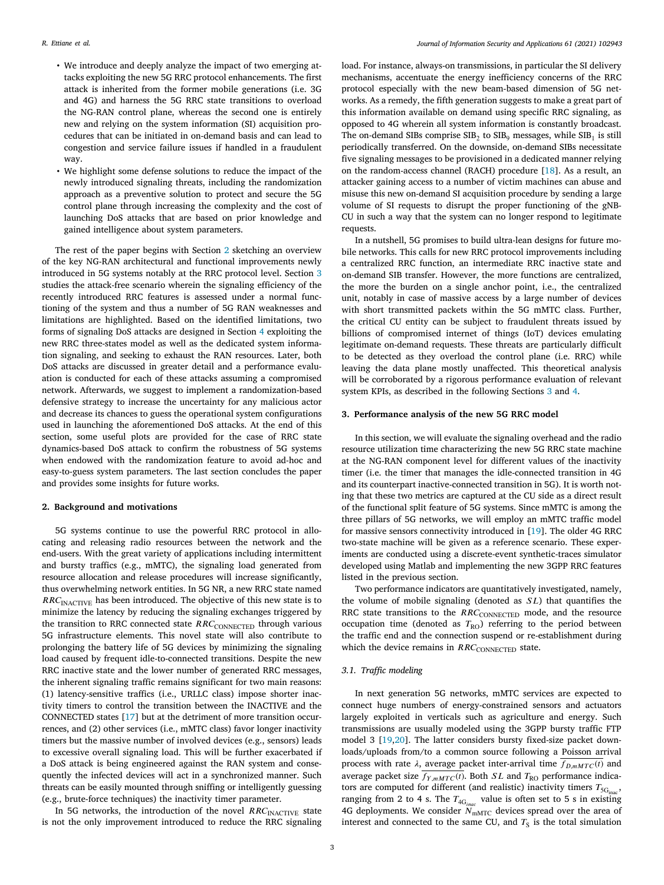- We introduce and deeply analyze the impact of two emerging attacks exploiting the new 5G RRC protocol enhancements. The first attack is inherited from the former mobile generations (i.e. 3G and 4G) and harness the 5G RRC state transitions to overload the NG-RAN control plane, whereas the second one is entirely new and relying on the system information (SI) acquisition procedures that can be initiated in on-demand basis and can lead to congestion and service failure issues if handled in a fraudulent way.
- We highlight some defense solutions to reduce the impact of the newly introduced signaling threats, including the randomization approach as a preventive solution to protect and secure the 5G control plane through increasing the complexity and the cost of launching DoS attacks that are based on prior knowledge and gained intelligence about system parameters.

The rest of the paper begins with Section [2](#page-2-0) sketching an overview of the key NG-RAN architectural and functional improvements newly introduced in 5G systems notably at the RRC protocol level. Section [3](#page-2-1) studies the attack-free scenario wherein the signaling efficiency of the recently introduced RRC features is assessed under a normal functioning of the system and thus a number of 5G RAN weaknesses and limitations are highlighted. Based on the identified limitations, two forms of signaling DoS attacks are designed in Section [4](#page-3-0) exploiting the new RRC three-states model as well as the dedicated system information signaling, and seeking to exhaust the RAN resources. Later, both DoS attacks are discussed in greater detail and a performance evaluation is conducted for each of these attacks assuming a compromised network. Afterwards, we suggest to implement a randomization-based defensive strategy to increase the uncertainty for any malicious actor and decrease its chances to guess the operational system configurations used in launching the aforementioned DoS attacks. At the end of this section, some useful plots are provided for the case of RRC state dynamics-based DoS attack to confirm the robustness of 5G systems when endowed with the randomization feature to avoid ad-hoc and easy-to-guess system parameters. The last section concludes the paper and provides some insights for future works.

## **2. Background and motivations**

<span id="page-2-0"></span>5G systems continue to use the powerful RRC protocol in allocating and releasing radio resources between the network and the end-users. With the great variety of applications including intermittent and bursty traffics (e.g., mMTC), the signaling load generated from resource allocation and release procedures will increase significantly, thus overwhelming network entities. In 5G NR, a new RRC state named  $RRC_{\text{INACTIVE}}$  has been introduced. The objective of this new state is to minimize the latency by reducing the signaling exchanges triggered by the transition to RRC connected state  $RRC$ <sub>CONNECTED</sub> through various 5G infrastructure elements. This novel state will also contribute to prolonging the battery life of 5G devices by minimizing the signaling load caused by frequent idle-to-connected transitions. Despite the new RRC inactive state and the lower number of generated RRC messages, the inherent signaling traffic remains significant for two main reasons: (1) latency-sensitive traffics (i.e., URLLC class) impose shorter inactivity timers to control the transition between the INACTIVE and the CONNECTED states [\[17](#page-9-15)] but at the detriment of more transition occurrences, and (2) other services (i.e., mMTC class) favor longer inactivity timers but the massive number of involved devices (e.g., sensors) leads to excessive overall signaling load. This will be further exacerbated if a DoS attack is being engineered against the RAN system and consequently the infected devices will act in a synchronized manner. Such threats can be easily mounted through sniffing or intelligently guessing (e.g., brute-force techniques) the inactivity timer parameter.

In 5G networks, the introduction of the novel  $RRC$ <sub>INACTIVE</sub> state is not the only improvement introduced to reduce the RRC signaling load. For instance, always-on transmissions, in particular the SI delivery mechanisms, accentuate the energy inefficiency concerns of the RRC protocol especially with the new beam-based dimension of 5G networks. As a remedy, the fifth generation suggests to make a great part of this information available on demand using specific RRC signaling, as opposed to 4G wherein all system information is constantly broadcast. The on-demand SIBs comprise  $\text{SIB}_2$  to  $\text{SIB}_9$  messages, while  $\text{SIB}_1$  is still periodically transferred. On the downside, on-demand SIBs necessitate five signaling messages to be provisioned in a dedicated manner relying on the random-access channel (RACH) procedure [[18\]](#page-9-16). As a result, an attacker gaining access to a number of victim machines can abuse and misuse this new on-demand SI acquisition procedure by sending a large volume of SI requests to disrupt the proper functioning of the gNB-CU in such a way that the system can no longer respond to legitimate requests.

In a nutshell, 5G promises to build ultra-lean designs for future mobile networks. This calls for new RRC protocol improvements including a centralized RRC function, an intermediate RRC inactive state and on-demand SIB transfer. However, the more functions are centralized, the more the burden on a single anchor point, i.e., the centralized unit, notably in case of massive access by a large number of devices with short transmitted packets within the 5G mMTC class. Further, the critical CU entity can be subject to fraudulent threats issued by billions of compromised internet of things (IoT) devices emulating legitimate on-demand requests. These threats are particularly difficult to be detected as they overload the control plane (i.e. RRC) while leaving the data plane mostly unaffected. This theoretical analysis will be corroborated by a rigorous performance evaluation of relevant system KPIs, as described in the following Sections [3](#page-2-1) and [4](#page-3-0).

## **3. Performance analysis of the new 5G RRC model**

<span id="page-2-1"></span>In this section, we will evaluate the signaling overhead and the radio resource utilization time characterizing the new 5G RRC state machine at the NG-RAN component level for different values of the inactivity timer (i.e. the timer that manages the idle-connected transition in 4G and its counterpart inactive-connected transition in 5G). It is worth noting that these two metrics are captured at the CU side as a direct result of the functional split feature of 5G systems. Since mMTC is among the three pillars of 5G networks, we will employ an mMTC traffic model for massive sensors connectivity introduced in [\[19](#page-9-17)]. The older 4G RRC two-state machine will be given as a reference scenario. These experiments are conducted using a discrete-event synthetic-traces simulator developed using Matlab and implementing the new 3GPP RRC features listed in the previous section.

Two performance indicators are quantitatively investigated, namely, the volume of mobile signaling (denoted as  $SL$ ) that quantifies the RRC state transitions to the  $RRC$ <sub>CONNECTED</sub> mode, and the resource occupation time (denoted as  $T_{\text{RO}}$ ) referring to the period between the traffic end and the connection suspend or re-establishment during which the device remains in  $RRC_{\text{CONNECTED}}$  state.

## *3.1. Traffic modeling*

<span id="page-2-2"></span>In next generation 5G networks, mMTC services are expected to connect huge numbers of energy-constrained sensors and actuators largely exploited in verticals such as agriculture and energy. Such transmissions are usually modeled using the 3GPP bursty traffic FTP model 3 [[19](#page-9-17)[,20](#page-9-18)]. The latter considers bursty fixed-size packet downloads/uploads from/to a common source following a Poisson arrival process with rate  $\lambda$ , average packet inter-arrival time  $\overline{f_{D,mM}}_{TC}(t)$  and average packet size  $f_{Y,mMTC}(t)$ . Both *SL* and  $T_{RO}$  performance indicators are computed for different (and realistic) inactivity timers  $T_{\rm 5G_{inac}}$ , ranging from 2 to 4 s. The  $T_{4G_{inac}}$  value is often set to 5 s in existing 4G deployments. We consider  $N_{\text{mMTC}}$  devices spread over the area of interest and connected to the same CU, and  $T<sub>S</sub>$  is the total simulation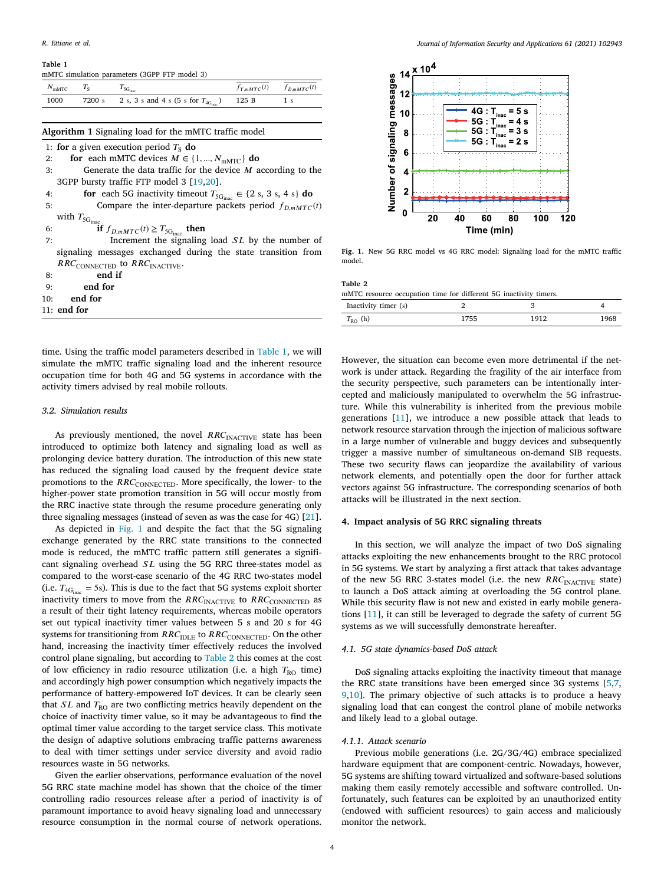## **Table 1**

<span id="page-3-1"></span>

| mMTC simulation parameters (3GPP FTP model 3) |  |
|-----------------------------------------------|--|
|-----------------------------------------------|--|

| $N_{\text{mMTC}}$ $T_{\text{S}}$ |                                                                | $f_{Y,mMTC}(t)$ $f_{D,mMTC}(t)$ |
|----------------------------------|----------------------------------------------------------------|---------------------------------|
| 1000                             | 7200 s 2 s, 3 s and 4 s (5 s for $T_{4G_{\text{inac}}})$ 125 B |                                 |
|                                  |                                                                |                                 |

## **Algorithm 1** Signaling load for the mMTC traffic model

- 1: **for** a given execution period  $T_s$  **do**
- 2: **for** each mMTC devices  $M \in \{1, ..., N_{mMTC}\}\$ **do**
- 3: Generate the data traffic for the device  $M$  according to the 3GPP bursty traffic FTP model 3 [\[19](#page-9-17)[,20](#page-9-18)].
- 4: **for** each 5G inactivity timeout  $T_{5G_{\text{inag}}} \in \{2 \text{ s}, 3 \text{ s}, 4 \text{ s}\}\)$  do
- 5: Compare the inter-departure packets period  $f_{D,mMTC}(t)$ with  $T_{\rm 5G_{\rm ina}}$

6: **if**  $f_{D,mMTC}(t) \geq T_{5G_{\text{inac}}}$  then

- 7: Increment the signaling load  $SL$  by the number of signaling messages exchanged during the state transition from  $RRC$ CONNECTED to  $RRC$ <sub>INACTIVE</sub>.
- 8: **end if**
- 9: **end for**
- 10: **end for**
- 11: **end for**

time. Using the traffic model parameters described in [Table 1,](#page-3-1) we will simulate the mMTC traffic signaling load and the inherent resource occupation time for both 4G and 5G systems in accordance with the activity timers advised by real mobile rollouts.

#### *3.2. Simulation results*

As previously mentioned, the novel  $RRC_{\text{INACTIVE}}$  state has been introduced to optimize both latency and signaling load as well as prolonging device battery duration. The introduction of this new state has reduced the signaling load caused by the frequent device state promotions to the RRC<sub>CONNECTED</sub>. More specifically, the lower- to the higher-power state promotion transition in 5G will occur mostly from the RRC inactive state through the resume procedure generating only three signaling messages (instead of seven as was the case for 4G) [[21\]](#page-9-19).

As depicted in [Fig. 1](#page-3-2) and despite the fact that the 5G signaling exchange generated by the RRC state transitions to the connected mode is reduced, the mMTC traffic pattern still generates a significant signaling overhead  $SL$  using the 5G RRC three-states model as compared to the worst-case scenario of the 4G RRC two-states model (i.e.  $T_{4G_{\text{inac}}}$  = 5s). This is due to the fact that 5G systems exploit shorter inactivity timers to move from the  $RRC_{\text{INACTIVE}}$  to  $RRC_{\text{CONNECTED}}$  as a result of their tight latency requirements, whereas mobile operators set out typical inactivity timer values between 5 s and 20 s for 4G systems for transitioning from  $RRC_{\rm IDLE}$  to  $RRC_{\rm CONNECTED}$  . On the other hand, increasing the inactivity timer effectively reduces the involved control plane signaling, but according to [Table 2](#page-3-3) this comes at the cost of low efficiency in radio resource utilization (i.e. a high  $T_{\text{RO}}$  time) and accordingly high power consumption which negatively impacts the performance of battery-empowered IoT devices. It can be clearly seen that  $SL$  and  $T_{RO}$  are two conflicting metrics heavily dependent on the choice of inactivity timer value, so it may be advantageous to find the optimal timer value according to the target service class. This motivate the design of adaptive solutions embracing traffic patterns awareness to deal with timer settings under service diversity and avoid radio resources waste in 5G networks.

Given the earlier observations, performance evaluation of the novel 5G RRC state machine model has shown that the choice of the timer controlling radio resources release after a period of inactivity is of paramount importance to avoid heavy signaling load and unnecessary resource consumption in the normal course of network operations.



<span id="page-3-2"></span>**Fig. 1.** New 5G RRC model vs 4G RRC model: Signaling load for the mMTC traffic model.

<span id="page-3-3"></span>

| Table 2                                                           |      |      |      |
|-------------------------------------------------------------------|------|------|------|
| mMTC resource occupation time for different 5G inactivity timers. |      |      |      |
| Inactivity timer (s)                                              |      |      |      |
| $T_{\text{RO}}$ (h)                                               | 1755 | 1912 | 1968 |

However, the situation can become even more detrimental if the network is under attack. Regarding the fragility of the air interface from the security perspective, such parameters can be intentionally intercepted and maliciously manipulated to overwhelm the 5G infrastructure. While this vulnerability is inherited from the previous mobile generations [[11\]](#page-9-9), we introduce a new possible attack that leads to network resource starvation through the injection of malicious software in a large number of vulnerable and buggy devices and subsequently trigger a massive number of simultaneous on-demand SIB requests. These two security flaws can jeopardize the availability of various network elements, and potentially open the door for further attack vectors against 5G infrastructure. The corresponding scenarios of both attacks will be illustrated in the next section.

## **4. Impact analysis of 5G RRC signaling threats**

<span id="page-3-0"></span>In this section, we will analyze the impact of two DoS signaling attacks exploiting the new enhancements brought to the RRC protocol in 5G systems. We start by analyzing a first attack that takes advantage of the new 5G RRC 3-states model (i.e. the new  $RRC_{\text{INACTIVE}}$  state) to launch a DoS attack aiming at overloading the 5G control plane. While this security flaw is not new and existed in early mobile generations [[11\]](#page-9-9), it can still be leveraged to degrade the safety of current 5G systems as we will successfully demonstrate hereafter.

## *4.1. 5G state dynamics-based DoS attack*

<span id="page-3-4"></span>DoS signaling attacks exploiting the inactivity timeout that manage the RRC state transitions have been emerged since 3G systems [\[5,](#page-9-4)[7](#page-9-5), [9](#page-9-7)[,10](#page-9-8)]. The primary objective of such attacks is to produce a heavy signaling load that can congest the control plane of mobile networks and likely lead to a global outage.

#### *4.1.1. Attack scenario*

Previous mobile generations (i.e. 2G/3G/4G) embrace specialized hardware equipment that are component-centric. Nowadays, however, 5G systems are shifting toward virtualized and software-based solutions making them easily remotely accessible and software controlled. Unfortunately, such features can be exploited by an unauthorized entity (endowed with sufficient resources) to gain access and maliciously monitor the network.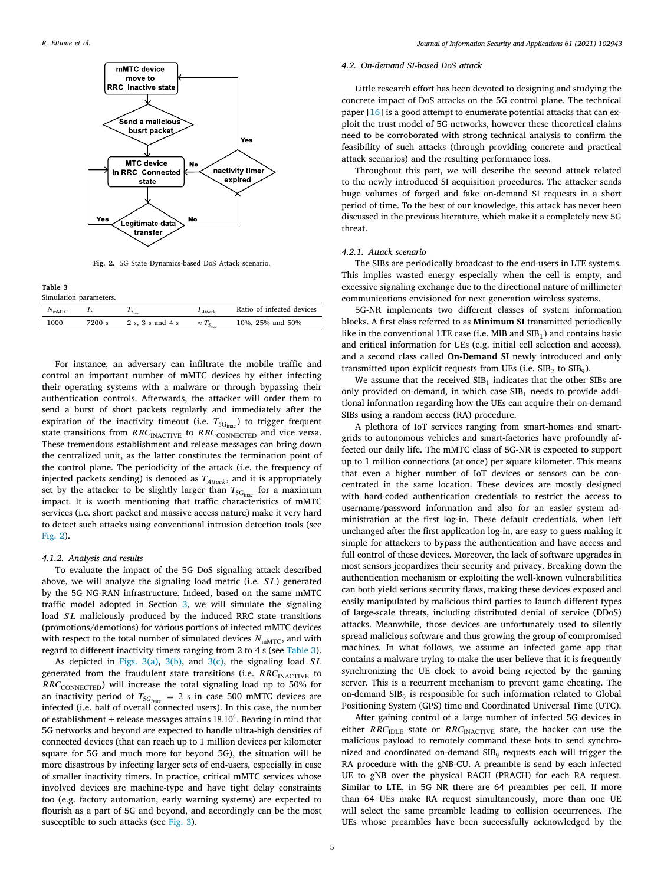

**Fig. 2.** 5G State Dynamics-based DoS Attack scenario.

<span id="page-4-1"></span><span id="page-4-0"></span>**Table 3**

| Simulation parameters. |        |                  |                 |                           |  |  |
|------------------------|--------|------------------|-----------------|---------------------------|--|--|
| $N_{\rm mMTC}$         |        |                  | $T_{Atarrow}$   | Ratio of infected devices |  |  |
| 1000                   | 7200 s | 2 s. 3 s and 4 s | $\approx T_{5}$ | 10%, 25% and 50%          |  |  |

For instance, an adversary can infiltrate the mobile traffic and control an important number of mMTC devices by either infecting their operating systems with a malware or through bypassing their authentication controls. Afterwards, the attacker will order them to send a burst of short packets regularly and immediately after the expiration of the inactivity timeout (i.e.  $T_{\rm 5G_{inac}}$ ) to trigger frequent state transitions from  $RRC$ <sub>INACTIVE</sub> to  $RRC$ <sub>CONNECTED</sub> and vice versa. These tremendous establishment and release messages can bring down the centralized unit, as the latter constitutes the termination point of the control plane. The periodicity of the attack (i.e. the frequency of injected packets sending) is denoted as  $T_{Attack}$ , and it is appropriately set by the attacker to be slightly larger than  $T_{\rm 5G_{\rm inac}}$  for a maximum impact. It is worth mentioning that traffic characteristics of mMTC services (i.e. short packet and massive access nature) make it very hard to detect such attacks using conventional intrusion detection tools (see [Fig. 2\)](#page-4-0).

#### *4.1.2. Analysis and results*

To evaluate the impact of the 5G DoS signaling attack described above, we will analyze the signaling load metric (i.e.  $SL$ ) generated by the 5G NG-RAN infrastructure. Indeed, based on the same mMTC traffic model adopted in Section [3](#page-2-1), we will simulate the signaling load  $SL$  maliciously produced by the induced RRC state transitions (promotions/demotions) for various portions of infected mMTC devices with respect to the total number of simulated devices  $N_{\text{mMTC}}$ , and with regard to different inactivity timers ranging from 2 to 4 s (see [Table 3](#page-4-1)).

As depicted in [Figs. 3\(a\)](#page-5-0), [3\(b\)](#page-5-1), and [3\(c\),](#page-5-1) the signaling load  $SL$ generated from the fraudulent state transitions (i.e.  $RRC_{\text{INACTIVE}}$  to  $RRC$ <sub>CONNECTED</sub>) will increase the total signaling load up to 50% for an inactivity period of  $T_{5G_{inac}}$  = 2 s in case 500 mMTC devices are infected (i.e. half of overall connected users). In this case, the number of establishment + release messages attains 18*.*10<sup>4</sup> . Bearing in mind that 5G networks and beyond are expected to handle ultra-high densities of connected devices (that can reach up to 1 million devices per kilometer square for 5G and much more for beyond 5G), the situation will be more disastrous by infecting larger sets of end-users, especially in case of smaller inactivity timers. In practice, critical mMTC services whose involved devices are machine-type and have tight delay constraints too (e.g. factory automation, early warning systems) are expected to flourish as a part of 5G and beyond, and accordingly can be the most susceptible to such attacks (see [Fig. 3\)](#page-5-2).

#### *4.2. On-demand SI-based DoS attack*

<span id="page-4-2"></span>Little research effort has been devoted to designing and studying the concrete impact of DoS attacks on the 5G control plane. The technical paper [[16\]](#page-9-14) is a good attempt to enumerate potential attacks that can exploit the trust model of 5G networks, however these theoretical claims need to be corroborated with strong technical analysis to confirm the feasibility of such attacks (through providing concrete and practical attack scenarios) and the resulting performance loss.

Throughout this part, we will describe the second attack related to the newly introduced SI acquisition procedures. The attacker sends huge volumes of forged and fake on-demand SI requests in a short period of time. To the best of our knowledge, this attack has never been discussed in the previous literature, which make it a completely new 5G threat.

#### *4.2.1. Attack scenario*

The SIBs are periodically broadcast to the end-users in LTE systems. This implies wasted energy especially when the cell is empty, and excessive signaling exchange due to the directional nature of millimeter communications envisioned for next generation wireless systems.

5G-NR implements two different classes of system information blocks. A first class referred to as **Minimum SI** transmitted periodically like in the conventional LTE case (i.e. MIB and  $SIB<sub>1</sub>$ ) and contains basic and critical information for UEs (e.g. initial cell selection and access), and a second class called **On-Demand SI** newly introduced and only transmitted upon explicit requests from UEs (i.e.  $\text{SIB}_2$  to  $\text{SIB}_9$ ).

We assume that the received  $SIB<sub>1</sub>$  indicates that the other SIBs are only provided on-demand, in which case  $SIB_1$  needs to provide additional information regarding how the UEs can acquire their on-demand SIBs using a random access (RA) procedure.

A plethora of IoT services ranging from smart-homes and smartgrids to autonomous vehicles and smart-factories have profoundly affected our daily life. The mMTC class of 5G-NR is expected to support up to 1 million connections (at once) per square kilometer. This means that even a higher number of IoT devices or sensors can be concentrated in the same location. These devices are mostly designed with hard-coded authentication credentials to restrict the access to username/password information and also for an easier system administration at the first log-in. These default credentials, when left unchanged after the first application log-in, are easy to guess making it simple for attackers to bypass the authentication and have access and full control of these devices. Moreover, the lack of software upgrades in most sensors jeopardizes their security and privacy. Breaking down the authentication mechanism or exploiting the well-known vulnerabilities can both yield serious security flaws, making these devices exposed and easily manipulated by malicious third parties to launch different types of large-scale threats, including distributed denial of service (DDoS) attacks. Meanwhile, those devices are unfortunately used to silently spread malicious software and thus growing the group of compromised machines. In what follows, we assume an infected game app that contains a malware trying to make the user believe that it is frequently synchronizing the UE clock to avoid being rejected by the gaming server. This is a recurrent mechanism to prevent game cheating. The on-demand  $\text{SIB}_9$  is responsible for such information related to Global Positioning System (GPS) time and Coordinated Universal Time (UTC).

After gaining control of a large number of infected 5G devices in either  $RRC_{\text{IDLE}}$  state or  $RRC_{\text{INACTIVE}}$  state, the hacker can use the malicious payload to remotely command these bots to send synchronized and coordinated on-demand  $SIB_9$  requests each will trigger the RA procedure with the gNB-CU. A preamble is send by each infected UE to gNB over the physical RACH (PRACH) for each RA request. Similar to LTE, in 5G NR there are 64 preambles per cell. If more than 64 UEs make RA request simultaneously, more than one UE will select the same preamble leading to collision occurrences. The UEs whose preambles have been successfully acknowledged by the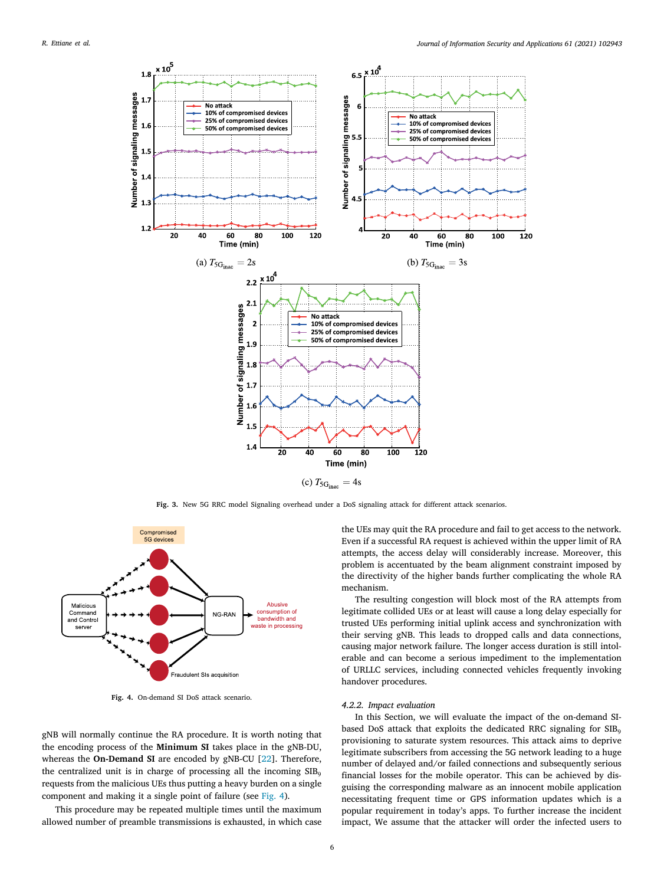<span id="page-5-0"></span>

Fig. 3. New 5G RRC model Signaling overhead under a DoS signaling attack for different attack scenarios.

<span id="page-5-2"></span><span id="page-5-1"></span>

**Fig. 4.** On-demand SI DoS attack scenario.

<span id="page-5-3"></span>gNB will normally continue the RA procedure. It is worth noting that the encoding process of the **Minimum SI** takes place in the gNB-DU, whereas the **On-Demand SI** are encoded by gNB-CU [[22\]](#page-9-20). Therefore, the centralized unit is in charge of processing all the incoming  $SIB<sub>9</sub>$ requests from the malicious UEs thus putting a heavy burden on a single component and making it a single point of failure (see [Fig. 4\)](#page-5-3).

This procedure may be repeated multiple times until the maximum allowed number of preamble transmissions is exhausted, in which case the UEs may quit the RA procedure and fail to get access to the network. Even if a successful RA request is achieved within the upper limit of RA attempts, the access delay will considerably increase. Moreover, this problem is accentuated by the beam alignment constraint imposed by the directivity of the higher bands further complicating the whole RA mechanism.

The resulting congestion will block most of the RA attempts from legitimate collided UEs or at least will cause a long delay especially for trusted UEs performing initial uplink access and synchronization with their serving gNB. This leads to dropped calls and data connections, causing major network failure. The longer access duration is still intolerable and can become a serious impediment to the implementation of URLLC services, including connected vehicles frequently invoking handover procedures.

## *4.2.2. Impact evaluation*

In this Section, we will evaluate the impact of the on-demand SIbased DoS attack that exploits the dedicated RRC signaling for  $\text{SIB}_9$ provisioning to saturate system resources. This attack aims to deprive legitimate subscribers from accessing the 5G network leading to a huge number of delayed and/or failed connections and subsequently serious financial losses for the mobile operator. This can be achieved by disguising the corresponding malware as an innocent mobile application necessitating frequent time or GPS information updates which is a popular requirement in today's apps. To further increase the incident impact, We assume that the attacker will order the infected users to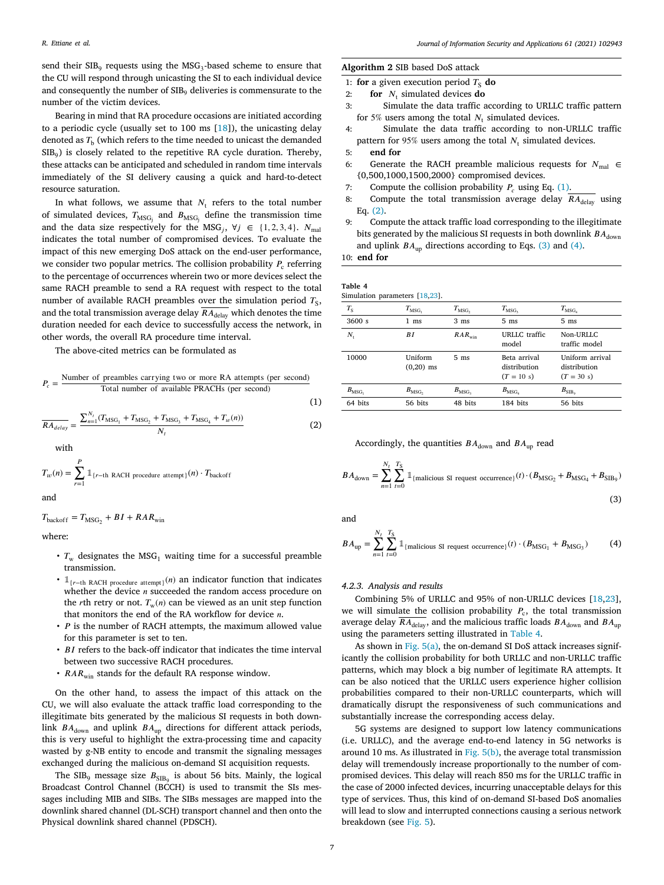send their  $\mathrm{SIB}_9$  requests using the  $\mathrm{MSG}_3$ -based scheme to ensure that the CU will respond through unicasting the SI to each individual device and consequently the number of  $\text{SIB}_9$  deliveries is commensurate to the number of the victim devices.

Bearing in mind that RA procedure occasions are initiated according to a periodic cycle (usually set to 100 ms [\[18](#page-9-16)]), the unicasting delay denoted as  $T_\mathrm{b}$  (which refers to the time needed to unicast the demanded  $\mathrm{SIB}_9$ ) is closely related to the repetitive RA cycle duration. Thereby, these attacks can be anticipated and scheduled in random time intervals immediately of the SI delivery causing a quick and hard-to-detect resource saturation.

In what follows, we assume that  $N_t$  refers to the total number of simulated devices,  $T_{\rm MSG_{j}}$  and  $B_{\rm MSG_{j}}$  define the transmission time and the data size respectively for the MSG<sub>j</sub>,  $\forall j \in \{1, 2, 3, 4\}$ .  $N_{\text{mal}}$ indicates the total number of compromised devices. To evaluate the impact of this new emerging DoS attack on the end-user performance, we consider two popular metrics. The collision probability  $P_{\rm c}$  referring to the percentage of occurrences wherein two or more devices select the same RACH preamble to send a RA request with respect to the total number of available RACH preambles over the simulation period  $T_{\rm S},$ and the total transmission average delay  $\overline{RA_{\text{delay}}}$  which denotes the time duration needed for each device to successfully access the network, in other words, the overall RA procedure time interval.

The above-cited metrics can be formulated as

$$
P_c = \frac{\text{Number of preambles carrying two or more RA attempts (per second)}}{\text{Total number of available PRACHs (per second)}}
$$

(1)  
\n
$$
\overline{RA_{delay}} = \frac{\sum_{n=1}^{N_t} (T_{\text{MSC}_1} + T_{\text{MSC}_2} + T_{\text{MSC}_3} + T_{\text{MSC}_4} + T_w(n))}{N_t}
$$
\n(2)

with

$$
T_w(n) = \sum_{r=1}^{P} \mathbb{1}_{\{r-\text{th RACH procedure attempt}\}}(n) \cdot T_{\text{backoff}}
$$

and

 $T_{\text{backoff}} = T_{\text{MSG}_2} + BI + RAR_{\text{win}}$ 

where:

- $T_w$  designates the MSG<sub>1</sub> waiting time for a successful preamble transmission.
- $\mathbb{1}_{\{r=\text{th RACH procedure attempt}\}}(n)$  an indicator function that indicates whether the device  $n$  succeeded the random access procedure on the *r*th retry or not.  $T_w(n)$  can be viewed as an unit step function that monitors the end of the RA workflow for device  $n$ .
- $\cdot$  *P* is the number of RACH attempts, the maximum allowed value for this parameter is set to ten.
- $\cdot$  BI refers to the back-off indicator that indicates the time interval between two successive RACH procedures.
- $RAR_{win}$  stands for the default RA response window.

On the other hand, to assess the impact of this attack on the CU, we will also evaluate the attack traffic load corresponding to the illegitimate bits generated by the malicious SI requests in both downlink  $BA_{down}$  and uplink  $BA_{up}$  directions for different attack periods, this is very useful to highlight the extra-processing time and capacity wasted by g-NB entity to encode and transmit the signaling messages exchanged during the malicious on-demand SI acquisition requests.

The SIB<sub>9</sub> message size  $B_{\rm SIB_9}$  is about 56 bits. Mainly, the logical Broadcast Control Channel (BCCH) is used to transmit the SIs messages including MIB and SIBs. The SIBs messages are mapped into the downlink shared channel (DL-SCH) transport channel and then onto the Physical downlink shared channel (PDSCH).

#### **Algorithm 2** SIB based DoS attack

- 1: **for** a given execution period  $T_s$  **do**<br>2: **for** *N*, simulated devices **do**
- 2: **for**  $N_t$  simulated devices **do**
- 3: Simulate the data traffic according to URLLC traffic pattern for 5% users among the total  $N_t$  simulated devices.
- 4: Simulate the data traffic according to non-URLLC traffic pattern for 95% users among the total  $N_t$  simulated devices.
- 5: **end for**
- 6: Generate the RACH preamble malicious requests for  $N_{\text{mal}} \in$ {0,500,1000,1500,2000} compromised devices.
- 7: Compute the collision probability  $P_c$  using Eq. [\(1\)](#page-6-0).
- 8: Compute the total transmission average delay  $RA_{\text{delay}}$  using Eq. [\(2\)](#page-6-1).
- 9: Compute the attack traffic load corresponding to the illegitimate bits generated by the malicious SI requests in both downlink  $BA_{down}$ and uplink  $BA_{\text{un}}$  directions according to Eqs. [\(3\)](#page-6-2) and ([4\)](#page-6-3).

10: **end for**

<span id="page-6-4"></span>

| Table 4 |                               |  |
|---------|-------------------------------|--|
|         | Simulation parameters [18.23] |  |

| $T_{\rm S}$      | $T_{\rm{MSG}_1}$       | $T_{\rm{MSG}_2}$ | $T_{\rm{MSG}_2}$                             | $T_{\rm{MSG}_4}$                                |
|------------------|------------------------|------------------|----------------------------------------------|-------------------------------------------------|
| 3600 s           | $1 \text{ ms}$         | 3 <sub>ms</sub>  | 5 <sub>ms</sub>                              | 5 <sub>ms</sub>                                 |
| N,               | BI                     | $RAR_{win}$      | URLLC traffic<br>model                       | Non-URLLC<br>traffic model                      |
| 10000            | Uniform<br>$(0,20)$ ms | 5 <sub>ms</sub>  | Beta arrival<br>distribution<br>$(T = 10 s)$ | Uniform arrival<br>distribution<br>$(T = 30 s)$ |
| $B_{\rm{MSG}_1}$ | $B_{\rm{MSG}_2}$       | $B_{\rm{MSG}_2}$ | $B_{\rm{MSG}_4}$                             | $B_{\rm SIB_o}$                                 |
| 64 bits          | 56 bits                | 48 bits          | 184 bits                                     | 56 bits                                         |
|                  |                        |                  |                                              |                                                 |

<span id="page-6-2"></span><span id="page-6-1"></span><span id="page-6-0"></span>Accordingly, the quantities  $BA_{\text{down}}$  and  $BA_{\text{up}}$  read

$$
BA_{\text{down}} = \sum_{n=1}^{N_t} \sum_{t=0}^{T_S} \mathbb{1}_{\{\text{malicious SI request occurrence}\}}(t) \cdot (B_{\text{MSG}_2} + B_{\text{MSG}_4} + B_{\text{SIB}_9})
$$
\n(3)

and

<span id="page-6-3"></span>
$$
BA_{\text{up}} = \sum_{n=1}^{N_t} \sum_{t=0}^{T_S} \mathbb{1}_{\{\text{malicious SI request occurrence}\}}(t) \cdot (B_{\text{MSG}_1} + B_{\text{MSG}_3}) \tag{4}
$$

#### *4.2.3. Analysis and results*

Combining 5% of URLLC and 95% of non-URLLC devices [[18,](#page-9-16)[23\]](#page-9-21), we will simulate the collision probability  $P_c$ , the total transmission average delay  $\overline{RA_{\text{delay}}}$ , and the malicious traffic loads  $BA_{\text{down}}$  and  $BA_{\text{up}}$ using the parameters setting illustrated in [Table 4.](#page-6-4)

As shown in Fig.  $5(a)$ , the on-demand SI DoS attack increases significantly the collision probability for both URLLC and non-URLLC traffic patterns, which may block a big number of legitimate RA attempts. It can be also noticed that the URLLC users experience higher collision probabilities compared to their non-URLLC counterparts, which will dramatically disrupt the responsiveness of such communications and substantially increase the corresponding access delay.

5G systems are designed to support low latency communications (i.e. URLLC), and the average end-to-end latency in 5G networks is around 10 ms. As illustrated in [Fig. 5\(b\),](#page-7-1) the average total transmission delay will tremendously increase proportionally to the number of compromised devices. This delay will reach 850 ms for the URLLC traffic in the case of 2000 infected devices, incurring unacceptable delays for this type of services. Thus, this kind of on-demand SI-based DoS anomalies will lead to slow and interrupted connections causing a serious network breakdown (see [Fig. 5\)](#page-7-2).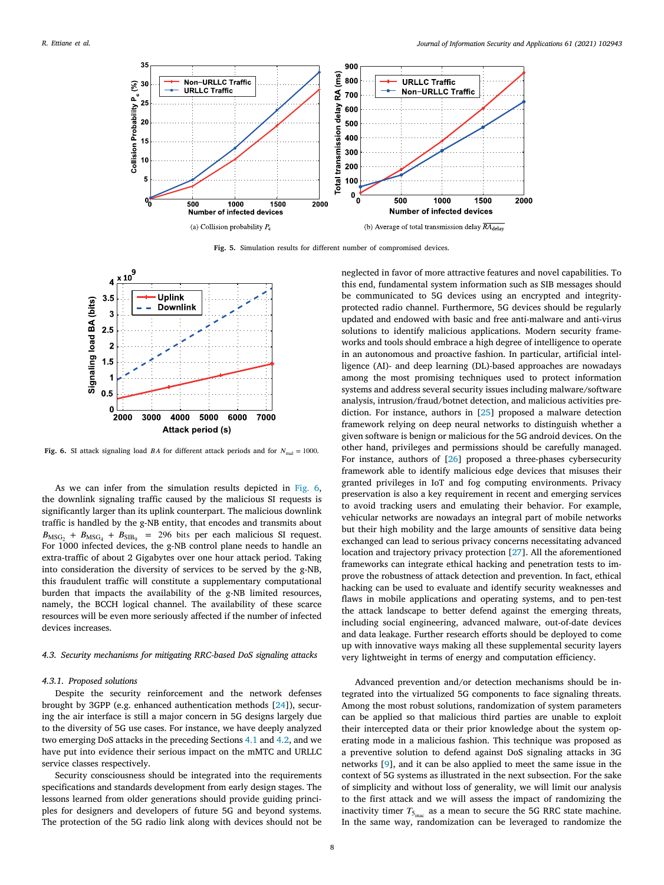<span id="page-7-0"></span>

**Fig. 5.** Simulation results for different number of compromised devices.

<span id="page-7-2"></span>

<span id="page-7-3"></span>**Fig. 6.** SI attack signaling load *BA* for different attack periods and for  $N_{\text{mal}} = 1000$ .

As we can infer from the simulation results depicted in [Fig. 6](#page-7-3), the downlink signaling traffic caused by the malicious SI requests is significantly larger than its uplink counterpart. The malicious downlink traffic is handled by the g-NB entity, that encodes and transmits about  $B_{\text{MSG}_2} + B_{\text{MSG}_4} + B_{\text{SIB}_9} = 296$  bits per each malicious SI request. For 1000 infected devices, the g-NB control plane needs to handle an extra-traffic of about 2 Gigabytes over one hour attack period. Taking into consideration the diversity of services to be served by the g-NB, this fraudulent traffic will constitute a supplementary computational burden that impacts the availability of the g-NB limited resources, namely, the BCCH logical channel. The availability of these scarce resources will be even more seriously affected if the number of infected devices increases.

## *4.3. Security mechanisms for mitigating RRC-based DoS signaling attacks*

#### *4.3.1. Proposed solutions*

Despite the security reinforcement and the network defenses brought by 3GPP (e.g. enhanced authentication methods [\[24](#page-9-22)]), securing the air interface is still a major concern in 5G designs largely due to the diversity of 5G use cases. For instance, we have deeply analyzed two emerging DoS attacks in the preceding Sections [4.1](#page-3-4) and [4.2](#page-4-2), and we have put into evidence their serious impact on the mMTC and URLLC service classes respectively.

Security consciousness should be integrated into the requirements specifications and standards development from early design stages. The lessons learned from older generations should provide guiding principles for designers and developers of future 5G and beyond systems. The protection of the 5G radio link along with devices should not be <span id="page-7-1"></span>neglected in favor of more attractive features and novel capabilities. To this end, fundamental system information such as SIB messages should be communicated to 5G devices using an encrypted and integrityprotected radio channel. Furthermore, 5G devices should be regularly updated and endowed with basic and free anti-malware and anti-virus solutions to identify malicious applications. Modern security frameworks and tools should embrace a high degree of intelligence to operate in an autonomous and proactive fashion. In particular, artificial intelligence (AI)- and deep learning (DL)-based approaches are nowadays among the most promising techniques used to protect information systems and address several security issues including malware/software analysis, intrusion/fraud/botnet detection, and malicious activities prediction. For instance, authors in [\[25](#page-9-23)] proposed a malware detection framework relying on deep neural networks to distinguish whether a given software is benign or malicious for the 5G android devices. On the other hand, privileges and permissions should be carefully managed. For instance, authors of [[26\]](#page-9-24) proposed a three-phases cybersecurity framework able to identify malicious edge devices that misuses their granted privileges in IoT and fog computing environments. Privacy preservation is also a key requirement in recent and emerging services to avoid tracking users and emulating their behavior. For example, vehicular networks are nowadays an integral part of mobile networks but their high mobility and the large amounts of sensitive data being exchanged can lead to serious privacy concerns necessitating advanced location and trajectory privacy protection [\[27](#page-9-25)]. All the aforementioned frameworks can integrate ethical hacking and penetration tests to improve the robustness of attack detection and prevention. In fact, ethical hacking can be used to evaluate and identify security weaknesses and flaws in mobile applications and operating systems, and to pen-test the attack landscape to better defend against the emerging threats, including social engineering, advanced malware, out-of-date devices and data leakage. Further research efforts should be deployed to come up with innovative ways making all these supplemental security layers very lightweight in terms of energy and computation efficiency.

Advanced prevention and/or detection mechanisms should be integrated into the virtualized 5G components to face signaling threats. Among the most robust solutions, randomization of system parameters can be applied so that malicious third parties are unable to exploit their intercepted data or their prior knowledge about the system operating mode in a malicious fashion. This technique was proposed as a preventive solution to defend against DoS signaling attacks in 3G networks [[9](#page-9-7)], and it can be also applied to meet the same issue in the context of 5G systems as illustrated in the next subsection. For the sake of simplicity and without loss of generality, we will limit our analysis to the first attack and we will assess the impact of randomizing the inactivity timer  $T_{5_{\text{inac}}}$  as a mean to secure the 5G RRC state machine. In the same way, randomization can be leveraged to randomize the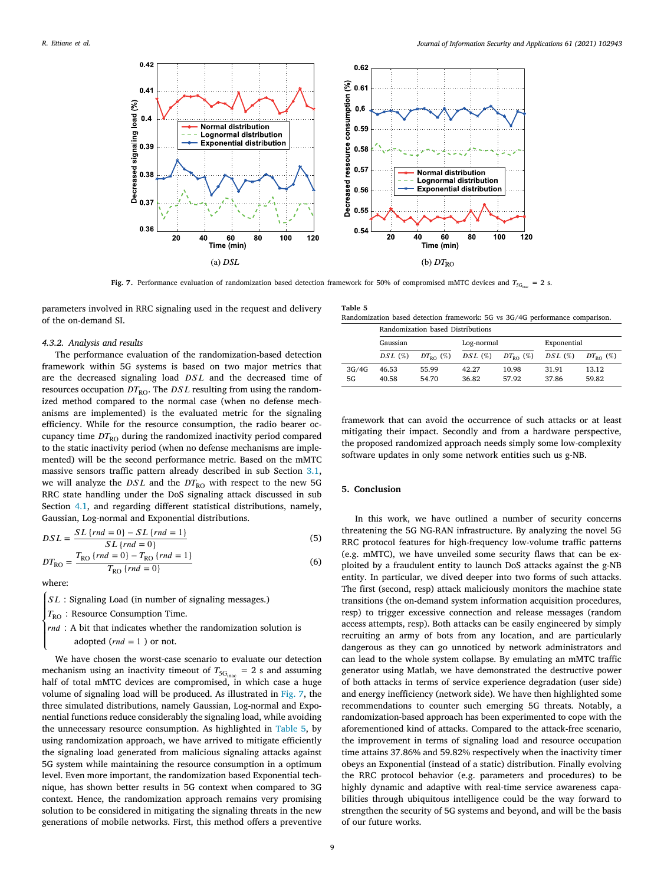

**Fig. 7.** Performance evaluation of randomization based detection framework for 50% of compromised mMTC devices and  $T_{\rm 5G_{i_{\rm max}}} = 2$  s.

<span id="page-8-0"></span>parameters involved in RRC signaling used in the request and delivery of the on-demand SI.

#### *4.3.2. Analysis and results*

The performance evaluation of the randomization-based detection framework within 5G systems is based on two major metrics that are the decreased signaling load  $DSL$  and the decreased time of resources occupation  $DT_{\text{RO}}$ . The  $DSL$  resulting from using the randomized method compared to the normal case (when no defense mechanisms are implemented) is the evaluated metric for the signaling efficiency. While for the resource consumption, the radio bearer occupancy time  $DT_{\rm RO}$  during the randomized inactivity period compared to the static inactivity period (when no defense mechanisms are implemented) will be the second performance metric. Based on the mMTC massive sensors traffic pattern already described in sub Section [3.1](#page-2-2), we will analyze the  $DSL$  and the  $DT_{RO}$  with respect to the new 5G RRC state handling under the DoS signaling attack discussed in sub Section [4.1](#page-3-4), and regarding different statistical distributions, namely, Gaussian, Log-normal and Exponential distributions.

$$
DSL = \frac{SL\{rnd = 0\} - SL\{rnd = 1\}}{SL\{rnd = 0\}}
$$
(5)  

$$
DT_{RO} = \frac{T_{RO}\{rnd = 0\} - T_{RO}\{rnd = 1\}}{T_{RO}\{ rod = 0\}}
$$
(6)

where:

 $\overline{a}$ l

SL: Signaling Load (in number of signaling messages.)

 $T_{\text{RO}}$  : Resource Consumption Time.

 $\left\{ \text{rnd } : A \text{ bit that indicates whether the randomization solution is} \right.$ 

adopted ( $rnd = 1$ ) or not.

 $T_{\text{RO}}$  { $rnd = 0$ }

We have chosen the worst-case scenario to evaluate our detection mechanism using an inactivity timeout of  $T_{\rm 5G_{\rm inac}} = 2$  s and assuming half of total mMTC devices are compromised, in which case a huge volume of signaling load will be produced. As illustrated in [Fig. 7,](#page-8-0) the three simulated distributions, namely Gaussian, Log-normal and Exponential functions reduce considerably the signaling load, while avoiding the unnecessary resource consumption. As highlighted in [Table 5,](#page-8-1) by using randomization approach, we have arrived to mitigate efficiently the signaling load generated from malicious signaling attacks against 5G system while maintaining the resource consumption in a optimum level. Even more important, the randomization based Exponential technique, has shown better results in 5G context when compared to 3G context. Hence, the randomization approach remains very promising solution to be considered in mitigating the signaling threats in the new generations of mobile networks. First, this method offers a preventive

<span id="page-8-1"></span>

| Table 5                                                                      |  |  |  |  |
|------------------------------------------------------------------------------|--|--|--|--|
| Randomization based detection framework: 5G vs 3G/4G performance comparison. |  |  |  |  |
|                                                                              |  |  |  |  |

|       | Randomization based Distributions |                   |                         |       |             |                   |  |
|-------|-----------------------------------|-------------------|-------------------------|-------|-------------|-------------------|--|
|       | Gaussian                          |                   | Log-normal              |       | Exponential |                   |  |
|       | $DSL(\%)$                         | $DT_{\rm po}$ (%) | $DSL(\%)$ $DT_{RO}(\%)$ |       | $DSL(\%)$   | $DT_{\rm po}$ (%) |  |
| 3G/4G | 46.53                             | 55.99             | 42.27                   | 10.98 | 31.91       | 13.12             |  |
| 5G    | 40.58                             | 54.70             | 36.82                   | 57.92 | 37.86       | 59.82             |  |

framework that can avoid the occurrence of such attacks or at least mitigating their impact. Secondly and from a hardware perspective, the proposed randomized approach needs simply some low-complexity software updates in only some network entities such us g-NB.

#### **5. Conclusion**

In this work, we have outlined a number of security concerns threatening the 5G NG-RAN infrastructure. By analyzing the novel 5G RRC protocol features for high-frequency low-volume traffic patterns (e.g. mMTC), we have unveiled some security flaws that can be exploited by a fraudulent entity to launch DoS attacks against the g-NB entity. In particular, we dived deeper into two forms of such attacks. The first (second, resp) attack maliciously monitors the machine state transitions (the on-demand system information acquisition procedures, resp) to trigger excessive connection and release messages (random access attempts, resp). Both attacks can be easily engineered by simply recruiting an army of bots from any location, and are particularly dangerous as they can go unnoticed by network administrators and can lead to the whole system collapse. By emulating an mMTC traffic generator using Matlab, we have demonstrated the destructive power of both attacks in terms of service experience degradation (user side) and energy inefficiency (network side). We have then highlighted some recommendations to counter such emerging 5G threats. Notably, a randomization-based approach has been experimented to cope with the aforementioned kind of attacks. Compared to the attack-free scenario, the improvement in terms of signaling load and resource occupation time attains 37.86% and 59.82% respectively when the inactivity timer obeys an Exponential (instead of a static) distribution. Finally evolving the RRC protocol behavior (e.g. parameters and procedures) to be highly dynamic and adaptive with real-time service awareness capabilities through ubiquitous intelligence could be the way forward to strengthen the security of 5G systems and beyond, and will be the basis of our future works.